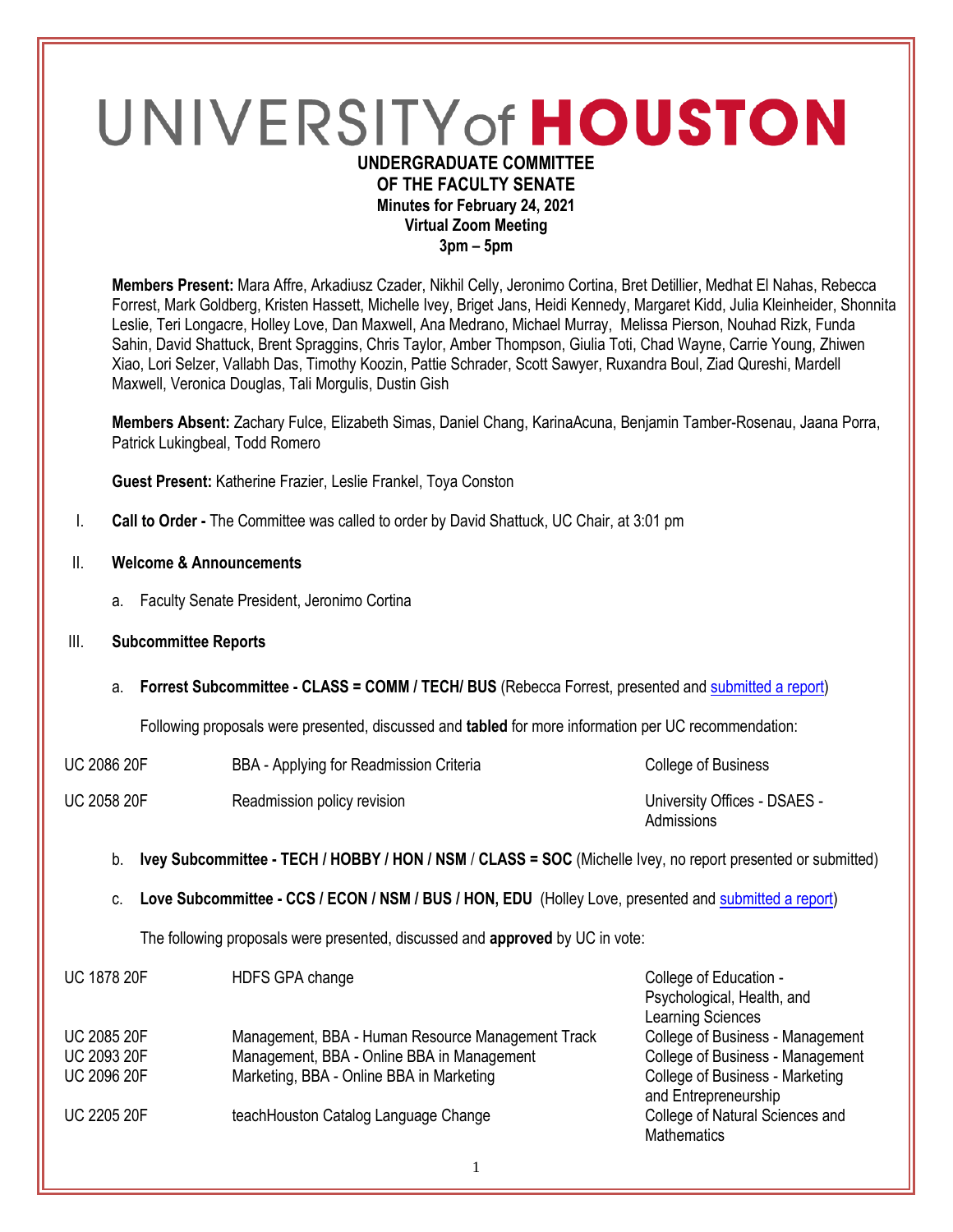# UNIVERSITY of HOUSTON **UNDERGRADUATE COMMITTEE**

## **OF THE FACULTY SENATE Minutes for February 24, 2021 Virtual Zoom Meeting 3pm – 5pm**

**Members Present:** Mara Affre, Arkadiusz Czader, Nikhil Celly, Jeronimo Cortina, Bret Detillier, Medhat El Nahas, Rebecca Forrest, Mark Goldberg, Kristen Hassett, Michelle Ivey, Briget Jans, Heidi Kennedy, Margaret Kidd, Julia Kleinheider, Shonnita Leslie, Teri Longacre, Holley Love, Dan Maxwell, Ana Medrano, Michael Murray, Melissa Pierson, Nouhad Rizk, Funda Sahin, David Shattuck, Brent Spraggins, Chris Taylor, Amber Thompson, Giulia Toti, Chad Wayne, Carrie Young, Zhiwen Xiao, Lori Selzer, Vallabh Das, Timothy Koozin, Pattie Schrader, Scott Sawyer, Ruxandra Boul, Ziad Qureshi, Mardell Maxwell, Veronica Douglas, Tali Morgulis, Dustin Gish

**Members Absent:** Zachary Fulce, Elizabeth Simas, Daniel Chang, KarinaAcuna, Benjamin Tamber-Rosenau, Jaana Porra, Patrick Lukingbeal, Todd Romero

**Guest Present:** Katherine Frazier, Leslie Frankel, Toya Conston

- I. **Call to Order -** The Committee was called to order by David Shattuck, UC Chair, at 3:01 pm
- II. **Welcome & Announcements**
	- a. Faculty Senate President, Jeronimo Cortina
- III. **Subcommittee Reports**
	- a. **Forrest Subcommittee - CLASS = COMM / TECH/ BUS** (Rebecca Forrest, presented an[d submitted a report\)](https://uofh.sharepoint.com/:w:/s/uc/admin/Eeuf3aaFwTNAiGcnzF2NSYYBWW5309wCAfdJ-3SjQC1jqw?e=zJRLUK)

Following proposals were presented, discussed and **tabled** for more information per UC recommendation:

| <b>UC 2086 20F</b> | BBA - Applying for Readmission Criteria | College of Business                        |
|--------------------|-----------------------------------------|--------------------------------------------|
| <b>UC 2058 20F</b> | Readmission policy revision             | University Offices - DSAES -<br>Admissions |

- b. **Ivey Subcommittee - TECH / HOBBY / HON / NSM** / **CLASS = SOC** (Michelle Ivey, no report presented or submitted)
- c. **Love Subcommittee - CCS / ECON / NSM / BUS / HON, EDU** (Holley Love, presented an[d submitted a report\)](https://uofh.sharepoint.com/:w:/s/uc/admin/ETYyH4B7tKpEnBmypN9pbXAB76v5k4SW7BMbvY0lGLiEYA?e=6HicoE)

The following proposals were presented, discussed and **approved** by UC in vote:

| <b>UC 1878 20F</b> | HDFS GPA change                                   | College of Education -           |
|--------------------|---------------------------------------------------|----------------------------------|
|                    |                                                   | Psychological, Health, and       |
|                    |                                                   | Learning Sciences                |
| <b>UC 2085 20F</b> | Management, BBA - Human Resource Management Track | College of Business - Management |
| <b>UC 2093 20F</b> | Management, BBA - Online BBA in Management        | College of Business - Management |
| <b>UC 2096 20F</b> | Marketing, BBA - Online BBA in Marketing          | College of Business - Marketing  |
|                    |                                                   | and Entrepreneurship             |
| <b>UC 2205 20F</b> | teachHouston Catalog Language Change              | College of Natural Sciences and  |
|                    |                                                   | <b>Mathematics</b>               |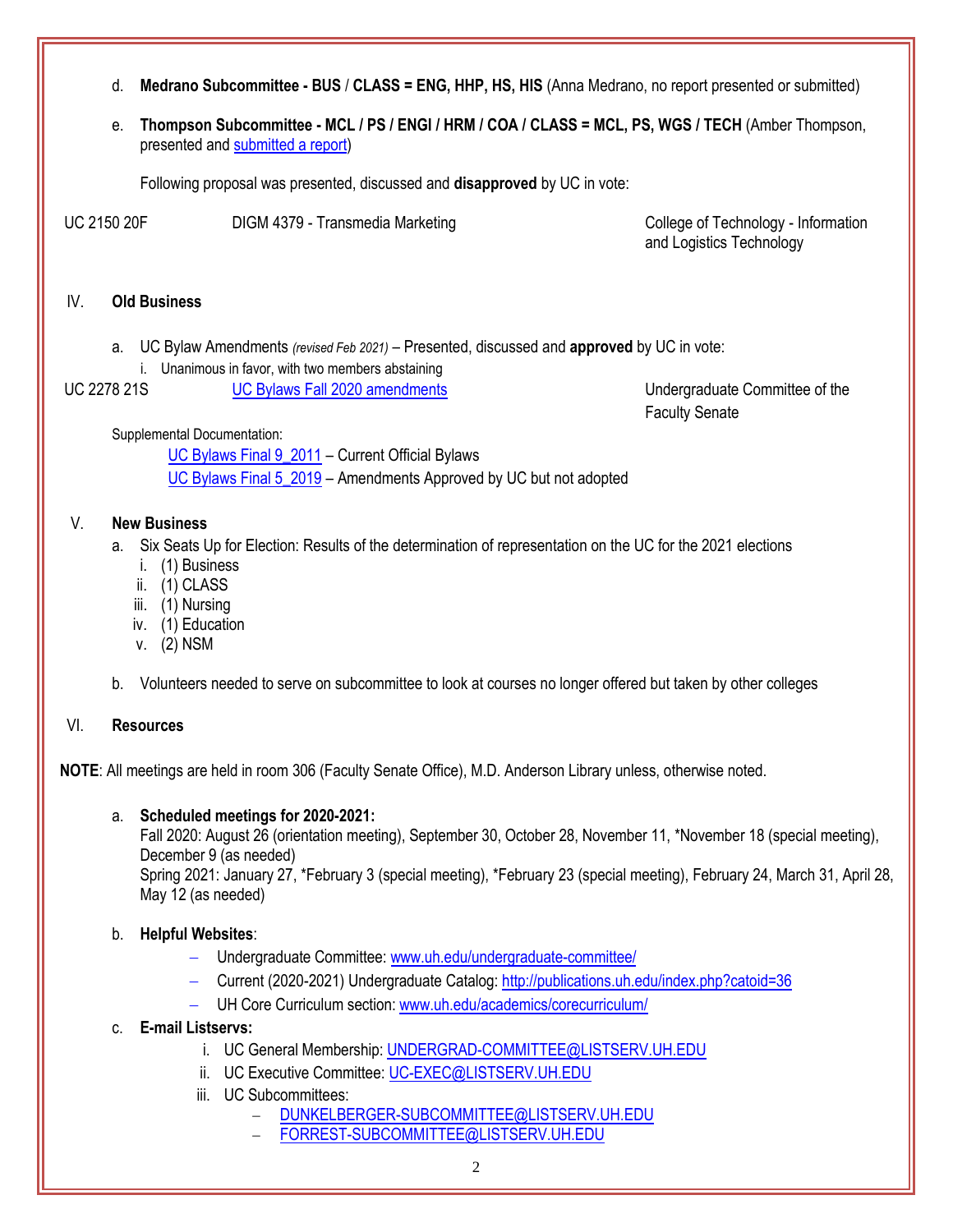- d. **Medrano Subcommittee - BUS** / **CLASS = ENG, HHP, HS, HIS** (Anna Medrano, no report presented or submitted)
- e. **Thompson Subcommittee - MCL / PS / ENGI / HRM / COA / CLASS = MCL, PS, WGS / TECH** (Amber Thompson, presented and [submitted a report\)](https://uofh.sharepoint.com/:w:/s/uc/admin/EUbHlZD168VChGnNv1G0i5ABem2frwt39mmcsNPPT-jwAg?e=IFgZOD)

Following proposal was presented, discussed and **disapproved** by UC in vote:

UC 2150 20F DIGM 4379 - Transmedia Marketing College of Technology - Information

and Logistics Technology

#### IV. **Old Business**

- a. UC Bylaw Amendments *(revised Feb 2021)* Presented, discussed and **approved** by UC in vote:
- i. Unanimous in favor, with two members abstaining
- UC 2278 21S [UC Bylaws Fall 2020 amendments](https://uofh.sharepoint.com/:li:/s/uc/E59p8O7QoOpEij9znxz3LJUBo41qRhLtdx4TgRbfflOWZQ?e=2R1vOe) Undergraduate Committee of the

Faculty Senate

Supplemental Documentation:

[UC Bylaws Final 9\\_2011](https://uofh.sharepoint.com/sites/uc/admin/Shared%20Documents/Bylaws/BYLAWS%20FALL%202020/UC%20Bylaws%20Final%209_2011.doc?d=wd0126a2f1d244a9991979d981384d3a5) – Current Official Bylaws UC Bylaws Final 5 2019 – Amendments Approved by UC but not adopted

## V. **New Business**

- a. Six Seats Up for Election: Results of the determination of representation on the UC for the 2021 elections
	- i. (1) Business
	- ii. (1) CLASS
	- iii. (1) Nursing
	- iv. (1) Education
	- v. (2) NSM
- b. Volunteers needed to serve on subcommittee to look at courses no longer offered but taken by other colleges

### VI. **Resources**

**NOTE**: All meetings are held in room 306 (Faculty Senate Office), M.D. Anderson Library unless, otherwise noted.

### a. **Scheduled meetings for 2020-2021:**

Fall 2020: August 26 (orientation meeting), September 30, October 28, November 11, \*November 18 (special meeting), December 9 (as needed)

Spring 2021: January 27, \*February 3 (special meeting), \*February 23 (special meeting), February 24, March 31, April 28, May 12 (as needed)

### b. **Helpful Websites**:

- Undergraduate Committee: [www.uh.edu/undergraduate-committee/](http://www.uh.edu/undergraduate-committee/)
- Current (2020-2021) Undergraduate Catalog: <http://publications.uh.edu/index.php?catoid=36>
- UH Core Curriculum section: [www.uh.edu/academics/corecurriculum/](http://www.uh.edu/academics/corecurriculum/)

## c. **E-mail Listservs:**

- i. UC General Membership: [UNDERGRAD-COMMITTEE@LISTSERV.UH.EDU](mailto:UNDERGRAD-COMMITTEE@LISTSERV.UH.EDU)
- ii. UC Executive Committee: [UC-EXEC@LISTSERV.UH.EDU](mailto:UC-EXEC@LISTSERV.UH.EDU)
- iii. UC Subcommittees:
	- [DUNKELBERGER-SUBCOMMITTEE@LISTSERV.UH.EDU](mailto:DUNKELBERGER-SUBCOMMITTEE@LISTSERV.UH.EDU)
	- [FORREST-SUBCOMMITTEE@LISTSERV.UH.EDU](mailto:FORREST-SUBCOMMITTEE@LISTSERV.UH.EDU)